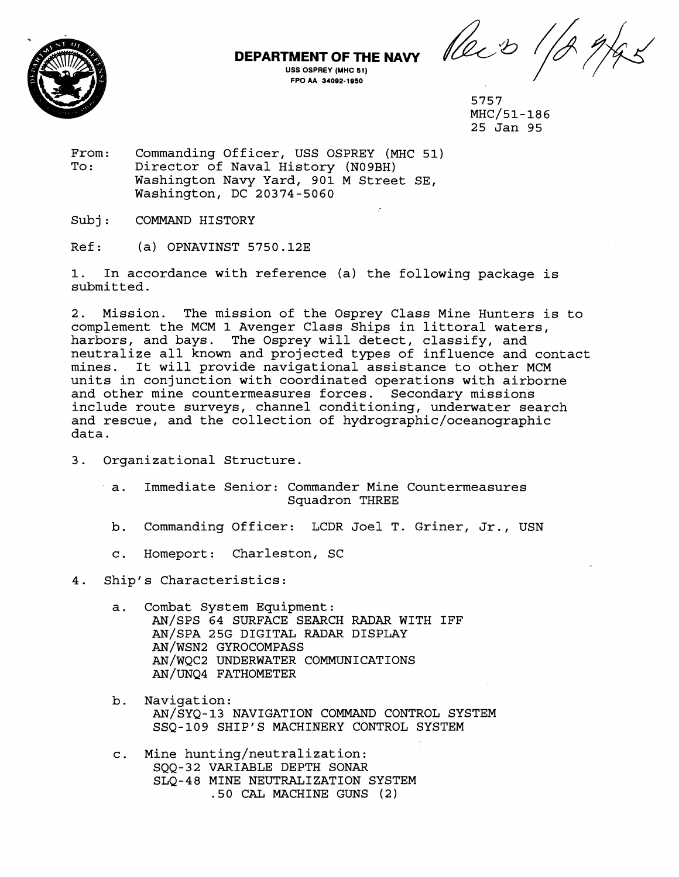

**MENT OF THE NAVY**  $\mathcal{U}_\mathcal{L}$   $\mathcal{D}_\text{ISS OSPREV (MHC 51)}$ 

5757 MHC/51-186 25 Jan 95

From: Commanding Officer, USS OSPREY (MHC 51)<br>To: Director of Naval History (N09BH) Director of Naval History (N09BH) Washington Navy Yard, 901 M Street SE, Washington, DC 20374-5060

Subj: COMMAND HISTORY

Ref: (a) OPNAVINST 5750.12E

1. In accordance with reference (a) the following package is submitted.

**DEPARTMENT OF THE NAVY USS OSPREY (MHC 51)** 

2. Mission. The mission of the Osprey Class Mine Hunters is to complement the MCM 1 Avenger Class Ships in littoral waters, harbors, and bays. The Osprey will detect, classify, and neutralize all known and projected types of influence and contact mines. It will provide navigational assistance to other MCM units in conjunction with coordinated operations with airborne and other mine countermeasures forces. Secondary missions include route surveys, channel conditioning, underwater search and rescue, and the collection of **hydrographic/oceanographic**  data.

- 3. Organizational Structure.
	- a. Immediate Senior: Commander Mine Countermeasures Squadron THREE
	- b. Commanding Officer: LCDR Joel T. Griner, Jr., USN
	- c. Homeport: Charleston, SC

4. Ship's Characteristics:

- a. Combat System Equipment: AN/SPS 64 SURFACE SEARCH RADAR WITH IFF AN/SPA 25G DIGITAL RADAR DISPLAY AN/WSN2 GYROCOMPASS AN/wQC2 UNDERWATER COMMUNICATIONS AN/UNQ4 FATHOMETER
- b. Navigation: AN/SYQ-13 NAVIGATION COMMAND CONTROL SYSTEM SSQ-109 SHIP'S MACHINERY CONTROL SYSTEM
- c. Mine hunting/neutralization: SQQ-32 VARIABLE DEPTH SONAR SLQ-48 MINE NEUTRALIZATION SYSTEM .50 **CAL** MACHINE GUNS (2)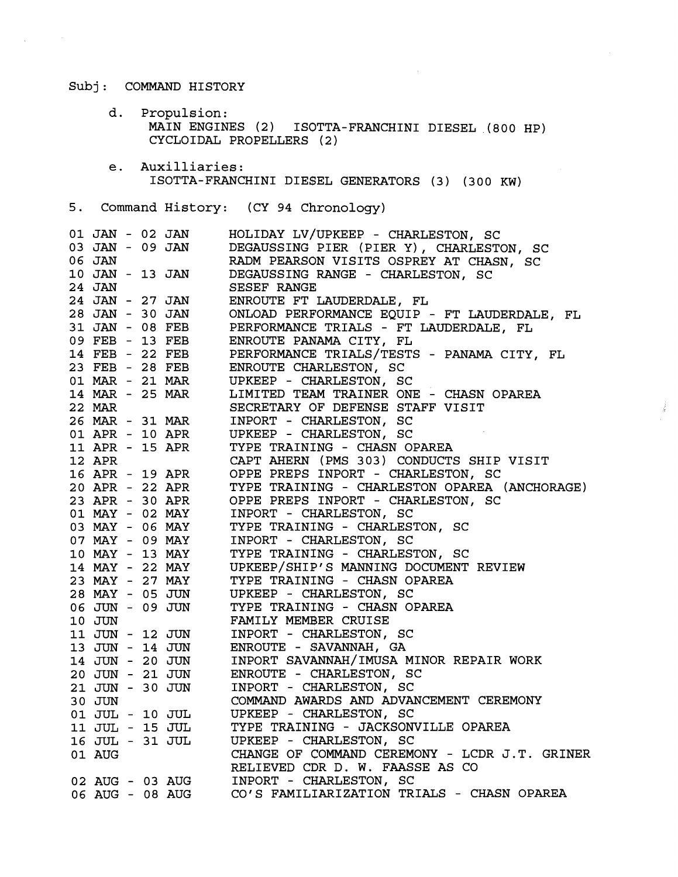## Subj: COMMAND HISTORY

 $\mathcal{L}_{\mathbf{X}}$  , and  $\mathcal{L}_{\mathbf{X}}$  , and  $\mathcal{L}_{\mathbf{X}}$ 

d. Propulsion: MAIN ENGINES **(2)** ISQTTA-FRANCHINI DIESEL **,(a00** HP) CYCLOIDAL PROPELLERS **(2** )

 $\sim 10^{11}$ 

 $\frac{1}{2}$ 

e. Auxilliaries: ISOTTA-FRANCHINI DIE\$EL GENERATORS **(3** ) **(300** KW)

## **5.** Command History: (CY **94** Chronology)

| 03 JAN - 09 JAN DEGAUSSING PIER (PIER Y), CHARLESTON, SO<br>DEGAUSSING PIER (PIER Y), CHARLESTON, SC<br>10 JAN - 13 JAN<br>24 JAN<br>DEGAUSSING RANGE - CHARLESTON, SC<br>24 JAN<br>SESEF RANGE<br>24 JAN - 27 JAN<br>ENROUTE FT LAUDERDALE, FL<br>28 JAN - 30 JAN<br>ONLOAD PERFORMANCE EQUIP - FT LAUDERDALE, FL<br>31 JAN - 08 FEB<br>09 FEB - 13 FEB<br>PERFORMANCE TRIALS - FT LAUDERDALE, FL<br>ENROUTE PANAMA CITY, FL<br>14 FEB - 22 FEB PERFORMANCE TRIALS/TESTS - PANAMA CITY, FL<br>23 FEB - 28 FEB ENROUTE CHARLESTON, SC<br>01 MAR - 21 MAR UPKEEP - CHARLESTON, SC<br>14 MAR - 25 MAR LIMITED TEAM TRAINER ONE - CHASN OPAREA<br>SECRETARY OF DEFENSE STAFF VISIT<br>22 MAR<br>22 MAR SECRETARY OF DEFENSE STAFF VISIT<br>26 MAR - 31 MAR INPORT - CHARLESTON, SC<br>01 APR - 10 APR UPKEEP - CHARLESTON, SC<br>11 APR - 15 APR TYPE TRAINING - CHASN OPAREA<br>12 APR - 22 APR OPPE PREPS INPORT - CHARLESTON, SC<br>23 APR<br>06 JUN - 09 JUN<br>TYPE TRAINING - CHASN OPAREA<br>10 JUN<br>FAMILY MEMBER CRUISE<br>INPORT - CHARLESTON, SC<br>11 JUN - 12 JUN<br>$13$ JUN - $14$ JUN<br>ENROUTE - SAVANNAH, GA<br>INPORT SAVANNAH/IMUSA MINOR REPAIR WORK<br>14 JUN - 20 JUN<br>ENROUTE - CHARLESTON, SC<br>20 JUN - 21 JUN<br>21 JUN - 30 JUN<br>INPORT - CHARLESTON, SC<br>21 JUN - 30 JUN | COMMAND AWARDS AND ADVANCEMENT CEREMONY<br>30 JUN<br>UPKEEP - CHARLESTON, SC<br>01 JUL - 10 JUL<br>11 JUL - 15 JUL<br>TYPE TRAINING - JACKSONVILLE OPAREA<br>11 JUL - 15 JUL       TYPE TRAINING - JACKSON<br>16 JUL - 31 JUL      UPKEEP - CHARLESTON, SC<br>CHANGE OF COMMAND CEREMONY - LCDR J.T. GRINER<br>01 AUG |  | 01 JAN - 02 JAN | HOLIDAY LV/UPKEEP - CHARLESTON, SC |
|--------------------------------------------------------------------------------------------------------------------------------------------------------------------------------------------------------------------------------------------------------------------------------------------------------------------------------------------------------------------------------------------------------------------------------------------------------------------------------------------------------------------------------------------------------------------------------------------------------------------------------------------------------------------------------------------------------------------------------------------------------------------------------------------------------------------------------------------------------------------------------------------------------------------------------------------------------------------------------------------------------------------------------------------------------------------------------------------------------------------------------------------------------------------------------------------------------------------------------------------------------------------------------------------------------------|-----------------------------------------------------------------------------------------------------------------------------------------------------------------------------------------------------------------------------------------------------------------------------------------------------------------------|--|-----------------|------------------------------------|
|                                                                                                                                                                                                                                                                                                                                                                                                                                                                                                                                                                                                                                                                                                                                                                                                                                                                                                                                                                                                                                                                                                                                                                                                                                                                                                              |                                                                                                                                                                                                                                                                                                                       |  |                 |                                    |
|                                                                                                                                                                                                                                                                                                                                                                                                                                                                                                                                                                                                                                                                                                                                                                                                                                                                                                                                                                                                                                                                                                                                                                                                                                                                                                              |                                                                                                                                                                                                                                                                                                                       |  |                 |                                    |
|                                                                                                                                                                                                                                                                                                                                                                                                                                                                                                                                                                                                                                                                                                                                                                                                                                                                                                                                                                                                                                                                                                                                                                                                                                                                                                              |                                                                                                                                                                                                                                                                                                                       |  |                 |                                    |
|                                                                                                                                                                                                                                                                                                                                                                                                                                                                                                                                                                                                                                                                                                                                                                                                                                                                                                                                                                                                                                                                                                                                                                                                                                                                                                              |                                                                                                                                                                                                                                                                                                                       |  |                 |                                    |
|                                                                                                                                                                                                                                                                                                                                                                                                                                                                                                                                                                                                                                                                                                                                                                                                                                                                                                                                                                                                                                                                                                                                                                                                                                                                                                              |                                                                                                                                                                                                                                                                                                                       |  |                 |                                    |
|                                                                                                                                                                                                                                                                                                                                                                                                                                                                                                                                                                                                                                                                                                                                                                                                                                                                                                                                                                                                                                                                                                                                                                                                                                                                                                              |                                                                                                                                                                                                                                                                                                                       |  |                 |                                    |
|                                                                                                                                                                                                                                                                                                                                                                                                                                                                                                                                                                                                                                                                                                                                                                                                                                                                                                                                                                                                                                                                                                                                                                                                                                                                                                              |                                                                                                                                                                                                                                                                                                                       |  |                 |                                    |
|                                                                                                                                                                                                                                                                                                                                                                                                                                                                                                                                                                                                                                                                                                                                                                                                                                                                                                                                                                                                                                                                                                                                                                                                                                                                                                              |                                                                                                                                                                                                                                                                                                                       |  |                 |                                    |
|                                                                                                                                                                                                                                                                                                                                                                                                                                                                                                                                                                                                                                                                                                                                                                                                                                                                                                                                                                                                                                                                                                                                                                                                                                                                                                              |                                                                                                                                                                                                                                                                                                                       |  |                 |                                    |
|                                                                                                                                                                                                                                                                                                                                                                                                                                                                                                                                                                                                                                                                                                                                                                                                                                                                                                                                                                                                                                                                                                                                                                                                                                                                                                              |                                                                                                                                                                                                                                                                                                                       |  |                 |                                    |
|                                                                                                                                                                                                                                                                                                                                                                                                                                                                                                                                                                                                                                                                                                                                                                                                                                                                                                                                                                                                                                                                                                                                                                                                                                                                                                              |                                                                                                                                                                                                                                                                                                                       |  |                 |                                    |
|                                                                                                                                                                                                                                                                                                                                                                                                                                                                                                                                                                                                                                                                                                                                                                                                                                                                                                                                                                                                                                                                                                                                                                                                                                                                                                              |                                                                                                                                                                                                                                                                                                                       |  |                 |                                    |
|                                                                                                                                                                                                                                                                                                                                                                                                                                                                                                                                                                                                                                                                                                                                                                                                                                                                                                                                                                                                                                                                                                                                                                                                                                                                                                              |                                                                                                                                                                                                                                                                                                                       |  |                 |                                    |
|                                                                                                                                                                                                                                                                                                                                                                                                                                                                                                                                                                                                                                                                                                                                                                                                                                                                                                                                                                                                                                                                                                                                                                                                                                                                                                              |                                                                                                                                                                                                                                                                                                                       |  |                 |                                    |
|                                                                                                                                                                                                                                                                                                                                                                                                                                                                                                                                                                                                                                                                                                                                                                                                                                                                                                                                                                                                                                                                                                                                                                                                                                                                                                              |                                                                                                                                                                                                                                                                                                                       |  |                 |                                    |
|                                                                                                                                                                                                                                                                                                                                                                                                                                                                                                                                                                                                                                                                                                                                                                                                                                                                                                                                                                                                                                                                                                                                                                                                                                                                                                              |                                                                                                                                                                                                                                                                                                                       |  |                 |                                    |
|                                                                                                                                                                                                                                                                                                                                                                                                                                                                                                                                                                                                                                                                                                                                                                                                                                                                                                                                                                                                                                                                                                                                                                                                                                                                                                              |                                                                                                                                                                                                                                                                                                                       |  |                 |                                    |
|                                                                                                                                                                                                                                                                                                                                                                                                                                                                                                                                                                                                                                                                                                                                                                                                                                                                                                                                                                                                                                                                                                                                                                                                                                                                                                              |                                                                                                                                                                                                                                                                                                                       |  |                 |                                    |
|                                                                                                                                                                                                                                                                                                                                                                                                                                                                                                                                                                                                                                                                                                                                                                                                                                                                                                                                                                                                                                                                                                                                                                                                                                                                                                              |                                                                                                                                                                                                                                                                                                                       |  |                 |                                    |
|                                                                                                                                                                                                                                                                                                                                                                                                                                                                                                                                                                                                                                                                                                                                                                                                                                                                                                                                                                                                                                                                                                                                                                                                                                                                                                              |                                                                                                                                                                                                                                                                                                                       |  |                 |                                    |
|                                                                                                                                                                                                                                                                                                                                                                                                                                                                                                                                                                                                                                                                                                                                                                                                                                                                                                                                                                                                                                                                                                                                                                                                                                                                                                              |                                                                                                                                                                                                                                                                                                                       |  |                 |                                    |
|                                                                                                                                                                                                                                                                                                                                                                                                                                                                                                                                                                                                                                                                                                                                                                                                                                                                                                                                                                                                                                                                                                                                                                                                                                                                                                              |                                                                                                                                                                                                                                                                                                                       |  |                 |                                    |
|                                                                                                                                                                                                                                                                                                                                                                                                                                                                                                                                                                                                                                                                                                                                                                                                                                                                                                                                                                                                                                                                                                                                                                                                                                                                                                              |                                                                                                                                                                                                                                                                                                                       |  |                 |                                    |
|                                                                                                                                                                                                                                                                                                                                                                                                                                                                                                                                                                                                                                                                                                                                                                                                                                                                                                                                                                                                                                                                                                                                                                                                                                                                                                              |                                                                                                                                                                                                                                                                                                                       |  |                 |                                    |
|                                                                                                                                                                                                                                                                                                                                                                                                                                                                                                                                                                                                                                                                                                                                                                                                                                                                                                                                                                                                                                                                                                                                                                                                                                                                                                              |                                                                                                                                                                                                                                                                                                                       |  |                 |                                    |
|                                                                                                                                                                                                                                                                                                                                                                                                                                                                                                                                                                                                                                                                                                                                                                                                                                                                                                                                                                                                                                                                                                                                                                                                                                                                                                              |                                                                                                                                                                                                                                                                                                                       |  |                 |                                    |
|                                                                                                                                                                                                                                                                                                                                                                                                                                                                                                                                                                                                                                                                                                                                                                                                                                                                                                                                                                                                                                                                                                                                                                                                                                                                                                              |                                                                                                                                                                                                                                                                                                                       |  |                 |                                    |
|                                                                                                                                                                                                                                                                                                                                                                                                                                                                                                                                                                                                                                                                                                                                                                                                                                                                                                                                                                                                                                                                                                                                                                                                                                                                                                              |                                                                                                                                                                                                                                                                                                                       |  |                 |                                    |
|                                                                                                                                                                                                                                                                                                                                                                                                                                                                                                                                                                                                                                                                                                                                                                                                                                                                                                                                                                                                                                                                                                                                                                                                                                                                                                              |                                                                                                                                                                                                                                                                                                                       |  |                 |                                    |
|                                                                                                                                                                                                                                                                                                                                                                                                                                                                                                                                                                                                                                                                                                                                                                                                                                                                                                                                                                                                                                                                                                                                                                                                                                                                                                              |                                                                                                                                                                                                                                                                                                                       |  |                 |                                    |
|                                                                                                                                                                                                                                                                                                                                                                                                                                                                                                                                                                                                                                                                                                                                                                                                                                                                                                                                                                                                                                                                                                                                                                                                                                                                                                              |                                                                                                                                                                                                                                                                                                                       |  |                 |                                    |
|                                                                                                                                                                                                                                                                                                                                                                                                                                                                                                                                                                                                                                                                                                                                                                                                                                                                                                                                                                                                                                                                                                                                                                                                                                                                                                              |                                                                                                                                                                                                                                                                                                                       |  |                 |                                    |
|                                                                                                                                                                                                                                                                                                                                                                                                                                                                                                                                                                                                                                                                                                                                                                                                                                                                                                                                                                                                                                                                                                                                                                                                                                                                                                              |                                                                                                                                                                                                                                                                                                                       |  |                 |                                    |
|                                                                                                                                                                                                                                                                                                                                                                                                                                                                                                                                                                                                                                                                                                                                                                                                                                                                                                                                                                                                                                                                                                                                                                                                                                                                                                              |                                                                                                                                                                                                                                                                                                                       |  |                 |                                    |
|                                                                                                                                                                                                                                                                                                                                                                                                                                                                                                                                                                                                                                                                                                                                                                                                                                                                                                                                                                                                                                                                                                                                                                                                                                                                                                              |                                                                                                                                                                                                                                                                                                                       |  |                 |                                    |
|                                                                                                                                                                                                                                                                                                                                                                                                                                                                                                                                                                                                                                                                                                                                                                                                                                                                                                                                                                                                                                                                                                                                                                                                                                                                                                              |                                                                                                                                                                                                                                                                                                                       |  |                 |                                    |
|                                                                                                                                                                                                                                                                                                                                                                                                                                                                                                                                                                                                                                                                                                                                                                                                                                                                                                                                                                                                                                                                                                                                                                                                                                                                                                              |                                                                                                                                                                                                                                                                                                                       |  |                 |                                    |
|                                                                                                                                                                                                                                                                                                                                                                                                                                                                                                                                                                                                                                                                                                                                                                                                                                                                                                                                                                                                                                                                                                                                                                                                                                                                                                              |                                                                                                                                                                                                                                                                                                                       |  |                 |                                    |
|                                                                                                                                                                                                                                                                                                                                                                                                                                                                                                                                                                                                                                                                                                                                                                                                                                                                                                                                                                                                                                                                                                                                                                                                                                                                                                              |                                                                                                                                                                                                                                                                                                                       |  |                 |                                    |
|                                                                                                                                                                                                                                                                                                                                                                                                                                                                                                                                                                                                                                                                                                                                                                                                                                                                                                                                                                                                                                                                                                                                                                                                                                                                                                              | RELIEVED CDR D. W. FAASSE AS CO                                                                                                                                                                                                                                                                                       |  |                 |                                    |
|                                                                                                                                                                                                                                                                                                                                                                                                                                                                                                                                                                                                                                                                                                                                                                                                                                                                                                                                                                                                                                                                                                                                                                                                                                                                                                              |                                                                                                                                                                                                                                                                                                                       |  |                 |                                    |
| RELIEVED CDR D. W. PARSSE AS CO<br>02 AUG - 03 AUG 1NPORT - CHARLESTON, SC<br>06 AUG - 08 AUG CO'S FAMILIARIZATION TRIALS - CHASN OPAREA                                                                                                                                                                                                                                                                                                                                                                                                                                                                                                                                                                                                                                                                                                                                                                                                                                                                                                                                                                                                                                                                                                                                                                     |                                                                                                                                                                                                                                                                                                                       |  |                 |                                    |
|                                                                                                                                                                                                                                                                                                                                                                                                                                                                                                                                                                                                                                                                                                                                                                                                                                                                                                                                                                                                                                                                                                                                                                                                                                                                                                              |                                                                                                                                                                                                                                                                                                                       |  |                 |                                    |